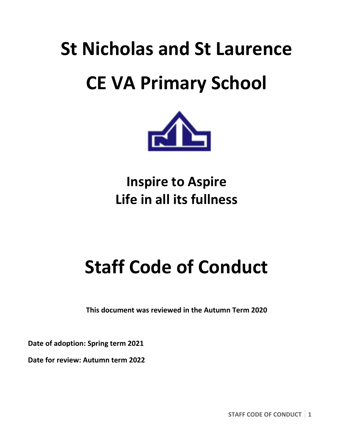# **St Nicholas and St Laurence CE VA Primary School**



## **Inspire to Aspire Life in all its fullness**

## **Staff Code of Conduct**

**This document was reviewed in the Autumn Term 2020**

**Date of adoption: Spring term 2021**

**Date for review: Autumn term 2022**

**STAFF CODE OF CONDUCT 1**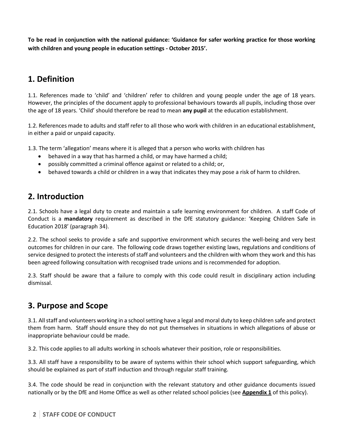**To be read in conjunction with the national guidance: 'Guidance for safer working practice for those working with children and young people in education settings - October 2015'.**

## **1. Definition**

1.1. References made to 'child' and 'children' refer to children and young people under the age of 18 years. However, the principles of the document apply to professional behaviours towards all pupils, including those over the age of 18 years. 'Child' should therefore be read to mean **any pupil** at the education establishment.

1.2. References made to adults and staff refer to all those who work with children in an educational establishment, in either a paid or unpaid capacity.

1.3. The term 'allegation' means where it is alleged that a person who works with children has

- behaved in a way that has harmed a child, or may have harmed a child;
- possibly committed a criminal offence against or related to a child; or,
- behaved towards a child or children in a way that indicates they may pose a risk of harm to children.

#### **2. Introduction**

2.1. Schools have a legal duty to create and maintain a safe learning environment for children. A staff Code of Conduct is a **mandatory** requirement as described in the DfE statutory guidance: 'Keeping Children Safe in Education 2018' (paragraph 34).

2.2. The school seeks to provide a safe and supportive environment which secures the well-being and very best outcomes for children in our care. The following code draws together existing laws, regulations and conditions of service designed to protect the interests of staff and volunteers and the children with whom they work and this has been agreed following consultation with recognised trade unions and is recommended for adoption.

2.3. Staff should be aware that a failure to comply with this code could result in disciplinary action including dismissal.

## **3. Purpose and Scope**

3.1. All staff and volunteers working in a school setting have a legal and moral duty to keep children safe and protect them from harm. Staff should ensure they do not put themselves in situations in which allegations of abuse or inappropriate behaviour could be made.

3.2. This code applies to all adults working in schools whatever their position, role or responsibilities.

3.3. All staff have a responsibility to be aware of systems within their school which support safeguarding, which should be explained as part of staff induction and through regular staff training.

3.4. The code should be read in conjunction with the relevant statutory and other guidance documents issued nationally or by the DfE and Home Office as well as other related school policies (see **Appendix 1** of this policy).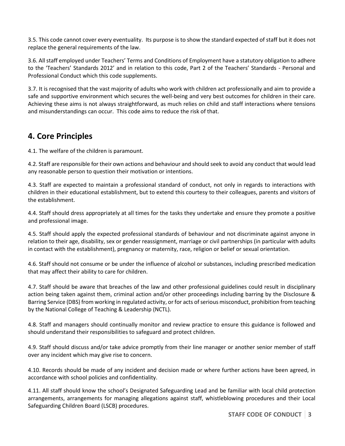3.5. This code cannot cover every eventuality. Its purpose is to show the standard expected of staff but it does not replace the general requirements of the law.

3.6. All staff employed under Teachers' Terms and Conditions of Employment have a statutory obligation to adhere to the 'Teachers' Standards 2012' and in relation to this code, Part 2 of the Teachers' Standards - Personal and Professional Conduct which this code supplements.

3.7. It is recognised that the vast majority of adults who work with children act professionally and aim to provide a safe and supportive environment which secures the well-being and very best outcomes for children in their care. Achieving these aims is not always straightforward, as much relies on child and staff interactions where tensions and misunderstandings can occur. This code aims to reduce the risk of that.

#### **4. Core Principles**

4.1. The welfare of the children is paramount.

4.2. Staff are responsible for their own actions and behaviour and should seek to avoid any conduct that would lead any reasonable person to question their motivation or intentions.

4.3. Staff are expected to maintain a professional standard of conduct, not only in regards to interactions with children in their educational establishment, but to extend this courtesy to their colleagues, parents and visitors of the establishment.

4.4. Staff should dress appropriately at all times for the tasks they undertake and ensure they promote a positive and professional image.

4.5. Staff should apply the expected professional standards of behaviour and not discriminate against anyone in relation to their age, disability, sex or gender reassignment, marriage or civil partnerships (in particular with adults in contact with the establishment), pregnancy or maternity, race, religion or belief or sexual orientation.

4.6. Staff should not consume or be under the influence of alcohol or substances, including prescribed medication that may affect their ability to care for children.

4.7. Staff should be aware that breaches of the law and other professional guidelines could result in disciplinary action being taken against them, criminal action and/or other proceedings including barring by the Disclosure & Barring Service (DBS) from working in regulated activity, or for acts of serious misconduct, prohibition from teaching by the National College of Teaching & Leadership (NCTL).

4.8. Staff and managers should continually monitor and review practice to ensure this guidance is followed and should understand their responsibilities to safeguard and protect children.

4.9. Staff should discuss and/or take advice promptly from their line manager or another senior member of staff over any incident which may give rise to concern.

4.10. Records should be made of any incident and decision made or where further actions have been agreed, in accordance with school policies and confidentiality.

4.11. All staff should know the school's Designated Safeguarding Lead and be familiar with local child protection arrangements, arrangements for managing allegations against staff, whistleblowing procedures and their Local Safeguarding Children Board (LSCB) procedures.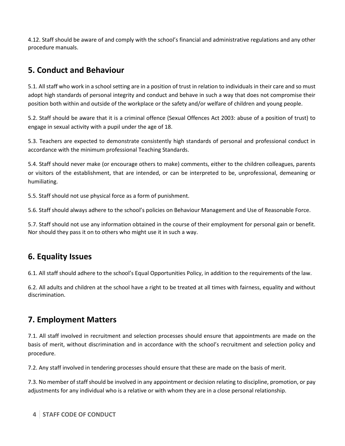4.12. Staff should be aware of and comply with the school's financial and administrative regulations and any other procedure manuals.

#### **5. Conduct and Behaviour**

5.1. All staff who work in a school setting are in a position of trust in relation to individuals in their care and so must adopt high standards of personal integrity and conduct and behave in such a way that does not compromise their position both within and outside of the workplace or the safety and/or welfare of children and young people.

5.2. Staff should be aware that it is a criminal offence (Sexual Offences Act 2003: abuse of a position of trust) to engage in sexual activity with a pupil under the age of 18.

5.3. Teachers are expected to demonstrate consistently high standards of personal and professional conduct in accordance with the minimum professional Teaching Standards.

5.4. Staff should never make (or encourage others to make) comments, either to the children colleagues, parents or visitors of the establishment, that are intended, or can be interpreted to be, unprofessional, demeaning or humiliating.

5.5. Staff should not use physical force as a form of punishment.

5.6. Staff should always adhere to the school's policies on Behaviour Management and Use of Reasonable Force.

5.7. Staff should not use any information obtained in the course of their employment for personal gain or benefit. Nor should they pass it on to others who might use it in such a way.

#### **6. Equality Issues**

6.1. All staff should adhere to the school's Equal Opportunities Policy, in addition to the requirements of the law.

6.2. All adults and children at the school have a right to be treated at all times with fairness, equality and without discrimination.

#### **7. Employment Matters**

7.1. All staff involved in recruitment and selection processes should ensure that appointments are made on the basis of merit, without discrimination and in accordance with the school's recruitment and selection policy and procedure.

7.2. Any staff involved in tendering processes should ensure that these are made on the basis of merit.

7.3. No member of staff should be involved in any appointment or decision relating to discipline, promotion, or pay adjustments for any individual who is a relative or with whom they are in a close personal relationship.

**4 STAFF CODE OF CONDUCT**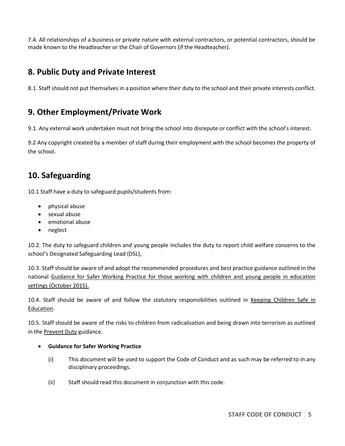7.4. All relationships of a business or private nature with external contractors, or potential contractors, should be made known to the Headteacher or the Chair of Governors (if the Headteacher).

#### **8. Public Duty and Private Interest**

8.1. Staff should not put themselves in a position where their duty to the school and their private interests conflict.

## **9. Other Employment/Private Work**

9.1. Any external work undertaken must not bring the school into disrepute or conflict with the school's interest.

9.2 Any copyright created by a member of staff during their employment with the school becomes the property of the school.

## **10. Safeguarding**

10.1 Staff have a duty to safeguard pupils/students from:

- physical abuse
- sexual abuse
- emotional abuse
- neglect

10.2. The duty to safeguard children and young people includes the duty to report child welfare concerns to the school's Designated Safeguarding Lead (DSL),

10.3. Staff should be aware of and adopt the recommended procedures and best practice guidance outlined in the national Guidance for Safer Working Practice for those working with children and young people in education settings (October 2015).

10.4. Staff should be aware of and follow the statutory responsibilities outlined in Keeping Children Safe in Education.

10.5. Staff should be aware of the risks to children from radicalisation and being drawn into terrorism as outlined in the **Prevent Duty** guidance.

#### **Guidance for Safer Working Practice**

- (i) This document will be used to support the Code of Conduct and as such may be referred to in any disciplinary proceedings.
- (ii) Staff should read this document in conjunction with this code.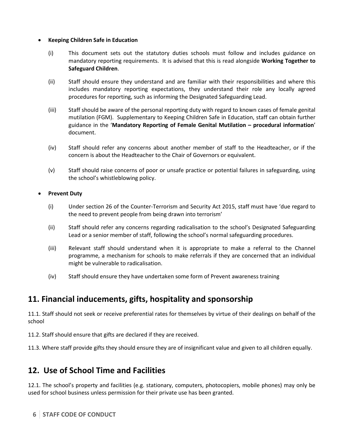#### **Keeping Children Safe in Education**

- (i) This document sets out the statutory duties schools must follow and includes guidance on mandatory reporting requirements. It is advised that this is read alongside **Working Together to Safeguard Children**.
- (ii) Staff should ensure they understand and are familiar with their responsibilities and where this includes mandatory reporting expectations, they understand their role any locally agreed procedures for reporting, such as informing the Designated Safeguarding Lead.
- (iii) Staff should be aware of the personal reporting duty with regard to known cases of female genital mutilation (FGM). Supplementary to Keeping Children Safe in Education, staff can obtain further guidance in the '**Mandatory Reporting of Female Genital Mutilation – procedural information**' document.
- (iv) Staff should refer any concerns about another member of staff to the Headteacher, or if the concern is about the Headteacher to the Chair of Governors or equivalent.
- (v) Staff should raise concerns of poor or unsafe practice or potential failures in safeguarding, using the school's whistleblowing policy.

#### **Prevent Duty**

- (i) Under section 26 of the Counter-Terrorism and Security Act 2015, staff must have 'due regard to the need to prevent people from being drawn into terrorism'
- (ii) Staff should refer any concerns regarding radicalisation to the school's Designated Safeguarding Lead or a senior member of staff, following the school's normal safeguarding procedures.
- (iii) Relevant staff should understand when it is appropriate to make a referral to the Channel programme, a mechanism for schools to make referrals if they are concerned that an individual might be vulnerable to radicalisation.
- (iv) Staff should ensure they have undertaken some form of Prevent awareness training

#### **11. Financial inducements, gifts, hospitality and sponsorship**

11.1. Staff should not seek or receive preferential rates for themselves by virtue of their dealings on behalf of the school

11.2. Staff should ensure that gifts are declared if they are received.

11.3. Where staff provide gifts they should ensure they are of insignificant value and given to all children equally.

#### **12. Use of School Time and Facilities**

12.1. The school's property and facilities (e.g. stationary, computers, photocopiers, mobile phones) may only be used for school business unless permission for their private use has been granted.

**6 STAFF CODE OF CONDUCT**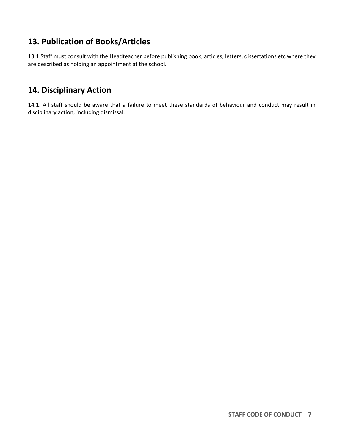### **13. Publication of Books/Articles**

13.1.Staff must consult with the Headteacher before publishing book, articles, letters, dissertations etc where they are described as holding an appointment at the school.

#### **14. Disciplinary Action**

14.1. All staff should be aware that a failure to meet these standards of behaviour and conduct may result in disciplinary action, including dismissal.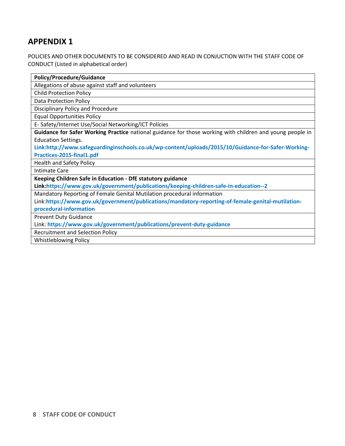#### **APPENDIX 1**

#### POLICIES AND OTHER DOCUMENTS TO BE CONSIDERED AND READ IN CONJUCTION WITH THE STAFF CODE OF CONDUCT (Listed in alphabetical order)

| <b>Policy/Procedure/Guidance</b>                                                                          |
|-----------------------------------------------------------------------------------------------------------|
| Allegations of abuse against staff and volunteers                                                         |
| <b>Child Protection Policy</b>                                                                            |
| <b>Data Protection Policy</b>                                                                             |
| <b>Disciplinary Policy and Procedure</b>                                                                  |
| <b>Equal Opportunities Policy</b>                                                                         |
| E- Safety/Internet Use/Social Networking/ICT Policies                                                     |
| Guidance for Safer Working Practice national guidance for those working with children and young people in |
| <b>Education Settings.</b>                                                                                |
| Link:http://www.safeguardinginschools.co.uk/wp-content/uploads/2015/10/Guidance-for-Safer-Working-        |
| Practices-2015-final1.pdf                                                                                 |
| <b>Health and Safety Policy</b>                                                                           |
| <b>Intimate Care</b>                                                                                      |
| Keeping Children Safe in Education - DfE statutory guidance                                               |
| Link:https://www.gov.uk/government/publications/keeping-children-safe-in-education--2                     |
| Mandatory Reporting of Female Genital Mutilation procedural information                                   |
| Link:https://www.gov.uk/government/publications/mandatory-reporting-of-female-genital-mutilation-         |
| procedural-information                                                                                    |
| <b>Prevent Duty Guidance</b>                                                                              |
| Link: https://www.gov.uk/government/publications/prevent-duty-guidance                                    |
| <b>Recruitment and Selection Policy</b>                                                                   |
| Whistlahlowing Policy                                                                                     |

Whistleblowing Policy